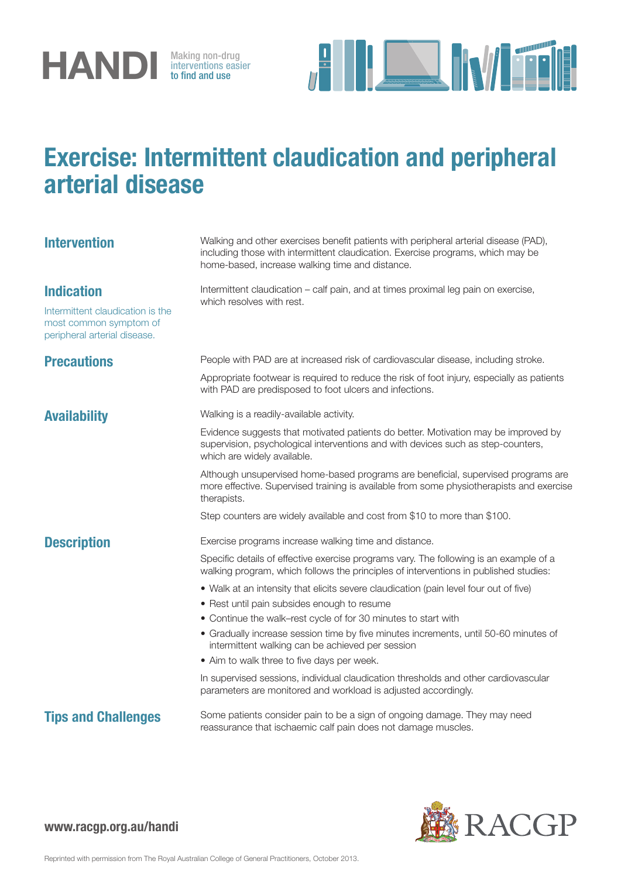

interventions easier to find and use



## Exercise: Intermittent claudication and peripheral arterial disease

| <b>Intervention</b>                                                                                             | Walking and other exercises benefit patients with peripheral arterial disease (PAD),<br>including those with intermittent claudication. Exercise programs, which may be<br>home-based, increase walking time and distance. |
|-----------------------------------------------------------------------------------------------------------------|----------------------------------------------------------------------------------------------------------------------------------------------------------------------------------------------------------------------------|
| <b>Indication</b><br>Intermittent claudication is the<br>most common symptom of<br>peripheral arterial disease. | Intermittent claudication – calf pain, and at times proximal leg pain on exercise,<br>which resolves with rest.                                                                                                            |
| <b>Precautions</b>                                                                                              | People with PAD are at increased risk of cardiovascular disease, including stroke.                                                                                                                                         |
|                                                                                                                 | Appropriate footwear is required to reduce the risk of foot injury, especially as patients<br>with PAD are predisposed to foot ulcers and infections.                                                                      |
| Availability                                                                                                    | Walking is a readily-available activity.                                                                                                                                                                                   |
|                                                                                                                 | Evidence suggests that motivated patients do better. Motivation may be improved by<br>supervision, psychological interventions and with devices such as step-counters,<br>which are widely available.                      |
|                                                                                                                 | Although unsupervised home-based programs are beneficial, supervised programs are<br>more effective. Supervised training is available from some physiotherapists and exercise<br>therapists.                               |
|                                                                                                                 | Step counters are widely available and cost from \$10 to more than \$100.                                                                                                                                                  |
| <b>Description</b>                                                                                              | Exercise programs increase walking time and distance.                                                                                                                                                                      |
|                                                                                                                 | Specific details of effective exercise programs vary. The following is an example of a<br>walking program, which follows the principles of interventions in published studies:                                             |
|                                                                                                                 | • Walk at an intensity that elicits severe claudication (pain level four out of five)<br>• Rest until pain subsides enough to resume                                                                                       |
|                                                                                                                 | • Continue the walk-rest cycle of for 30 minutes to start with                                                                                                                                                             |
|                                                                                                                 | • Gradually increase session time by five minutes increments, until 50-60 minutes of<br>intermittent walking can be achieved per session                                                                                   |
|                                                                                                                 | • Aim to walk three to five days per week.                                                                                                                                                                                 |
|                                                                                                                 | In supervised sessions, individual claudication thresholds and other cardiovascular<br>parameters are monitored and workload is adjusted accordingly.                                                                      |
| <b>Tips and Challenges</b>                                                                                      | Some patients consider pain to be a sign of ongoing damage. They may need<br>reassurance that ischaemic calf pain does not damage muscles.                                                                                 |
|                                                                                                                 |                                                                                                                                                                                                                            |



## www.racgp.org.au/handi